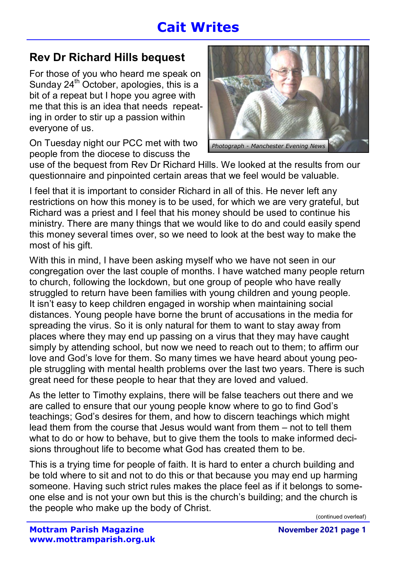# Cait Writes

#### Rev Dr Richard Hills bequest

For those of you who heard me speak on Sunday  $24<sup>th</sup>$  October, apologies, this is a bit of a repeat but I hope you agree with me that this is an idea that needs repeating in order to stir up a passion within everyone of us.

On Tuesday night our PCC met with two people from the diocese to discuss the



use of the bequest from Rev Dr Richard Hills. We looked at the results from our questionnaire and pinpointed certain areas that we feel would be valuable.

I feel that it is important to consider Richard in all of this. He never left any restrictions on how this money is to be used, for which we are very grateful, but Richard was a priest and I feel that his money should be used to continue his ministry. There are many things that we would like to do and could easily spend this money several times over, so we need to look at the best way to make the most of his gift.

With this in mind, I have been asking myself who we have not seen in our congregation over the last couple of months. I have watched many people return to church, following the lockdown, but one group of people who have really struggled to return have been families with young children and young people. It isn't easy to keep children engaged in worship when maintaining social distances. Young people have borne the brunt of accusations in the media for spreading the virus. So it is only natural for them to want to stay away from places where they may end up passing on a virus that they may have caught simply by attending school, but now we need to reach out to them; to affirm our love and God's love for them. So many times we have heard about young people struggling with mental health problems over the last two years. There is such great need for these people to hear that they are loved and valued.

As the letter to Timothy explains, there will be false teachers out there and we are called to ensure that our young people know where to go to find God's teachings; God's desires for them, and how to discern teachings which might lead them from the course that Jesus would want from them – not to tell them what to do or how to behave, but to give them the tools to make informed decisions throughout life to become what God has created them to be.

This is a trying time for people of faith. It is hard to enter a church building and be told where to sit and not to do this or that because you may end up harming someone. Having such strict rules makes the place feel as if it belongs to someone else and is not your own but this is the church's building; and the church is the people who make up the body of Christ.

(continued overleaf)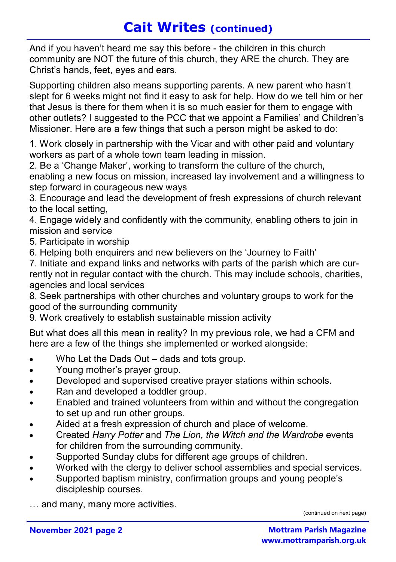## Cait Writes (continued)

And if you haven't heard me say this before - the children in this church community are NOT the future of this church, they ARE the church. They are Christ's hands, feet, eyes and ears.

Supporting children also means supporting parents. A new parent who hasn't slept for 6 weeks might not find it easy to ask for help. How do we tell him or her that Jesus is there for them when it is so much easier for them to engage with other outlets? I suggested to the PCC that we appoint a Families' and Children's Missioner. Here are a few things that such a person might be asked to do:

1. Work closely in partnership with the Vicar and with other paid and voluntary workers as part of a whole town team leading in mission.

2. Be a 'Change Maker', working to transform the culture of the church, enabling a new focus on mission, increased lay involvement and a willingness to step forward in courageous new ways

3. Encourage and lead the development of fresh expressions of church relevant to the local setting,

4. Engage widely and confidently with the community, enabling others to join in mission and service

5. Participate in worship

6. Helping both enquirers and new believers on the 'Journey to Faith'

7. Initiate and expand links and networks with parts of the parish which are currently not in regular contact with the church. This may include schools, charities, agencies and local services

8. Seek partnerships with other churches and voluntary groups to work for the good of the surrounding community

9. Work creatively to establish sustainable mission activity

But what does all this mean in reality? In my previous role, we had a CFM and here are a few of the things she implemented or worked alongside:

- Who Let the Dads Out dads and tots group.
- Young mother's prayer group.
- Developed and supervised creative prayer stations within schools.
- Ran and developed a toddler group.
- Enabled and trained volunteers from within and without the congregation to set up and run other groups.
- Aided at a fresh expression of church and place of welcome.
- Created Harry Potter and The Lion, the Witch and the Wardrobe events for children from the surrounding community.
- Supported Sunday clubs for different age groups of children.
- Worked with the clergy to deliver school assemblies and special services.
- Supported baptism ministry, confirmation groups and young people's discipleship courses.

… and many, many more activities.

(continued on next page)